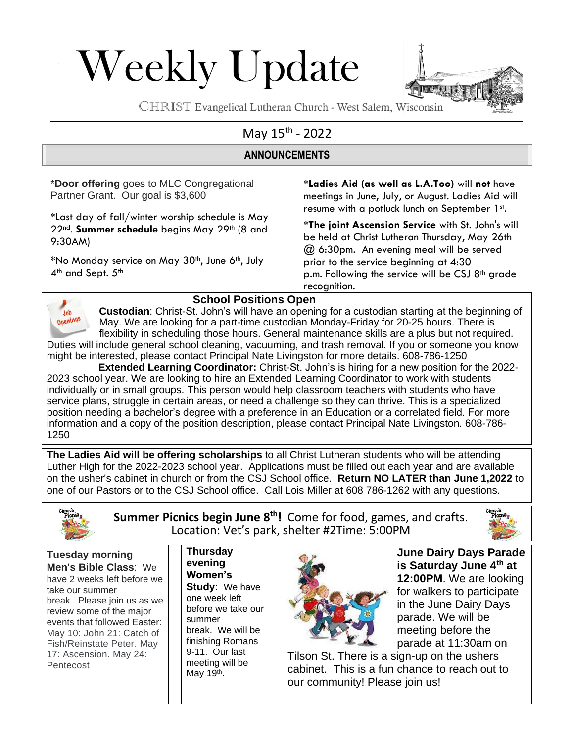# Weekly Update



CHRIST Evangelical Lutheran Church - West Salem, Wisconsin

### May 15<sup>th</sup> - 2022

#### **ANNOUNCEMENTS**

\***Door offering** goes to MLC Congregational Partner Grant. Our goal is \$3,600

**\***Last day of fall/winter worship schedule is May 22nd. **Summer schedule** begins May 29th (8 and 9:30AM)

**\***No Monday service on May 30th, June 6th, July 4<sup>th</sup> and Sept. 5<sup>th</sup>

**\*Ladies Aid (as well as L.A.Too)** will **not** have meetings in June, July, or August. Ladies Aid will resume with a potluck lunch on September 1st.

**\*The joint Ascension Service** with St. John's will be held at Christ Lutheran Thursday, May 26th @ 6:30pm. An evening meal will be served prior to the service beginning at 4:30 p.m. Following the service will be CSJ  $8<sup>th</sup>$  grade recognition.



#### **School Positions Open**

**Custodian**: Christ-St. John's will have an opening for a custodian starting at the beginning of May. We are looking for a part-time custodian Monday-Friday for 20-25 hours. There is flexibility in scheduling those hours. General maintenance skills are a plus but not required. Duties will include general school cleaning, vacuuming, and trash removal. If you or someone you know might be interested, please contact Principal Nate Livingston for more details. 608-786-1250

 **Extended Learning Coordinator:** Christ-St. John's is hiring for a new position for the 2022- 2023 school year. We are looking to hire an Extended Learning Coordinator to work with students individually or in small groups. This person would help classroom teachers with students who have service plans, struggle in certain areas, or need a challenge so they can thrive. This is a specialized position needing a bachelor's degree with a preference in an Education or a correlated field. For more information and a copy of the position description, please contact Principal Nate Livingston. 608-786- 1250

**The Ladies Aid will be offering scholarships** to all Christ Lutheran students who will be attending Luther High for the 2022-2023 school year. Applications must be filled out each year and are available on the usher's cabinet in church or from the CSJ School office. **Return NO LATER than June 1,2022** to one of our Pastors or to the CSJ School office. Call Lois Miller at 608 786-1262 with any questions.



Pentecost

**Summer Picnics begin June 8 th!** Come for food, games, and crafts. Location: Vet's park, shelter #2Time: 5:00PM



**Tuesday morning Men's Bible Class**: We have 2 weeks left before we take our summer break. Please join us as we review some of the major events that followed Easter: May 10: John 21: Catch of Fish/Reinstate Peter. May 17: Ascension. May 24:

**Thursday evening Women's Study**: We have one week left before we take our summer break. We will be finishing Romans 9-11. Our last meeting will be May 19<sup>th</sup>.



**June Dairy Days Parade is Saturday June 4th at 12:00PM**. We are looking for walkers to participate in the June Dairy Days parade. We will be meeting before the parade at 11:30am on

Tilson St. There is a sign-up on the ushers cabinet. This is a fun chance to reach out to our community! Please join us!